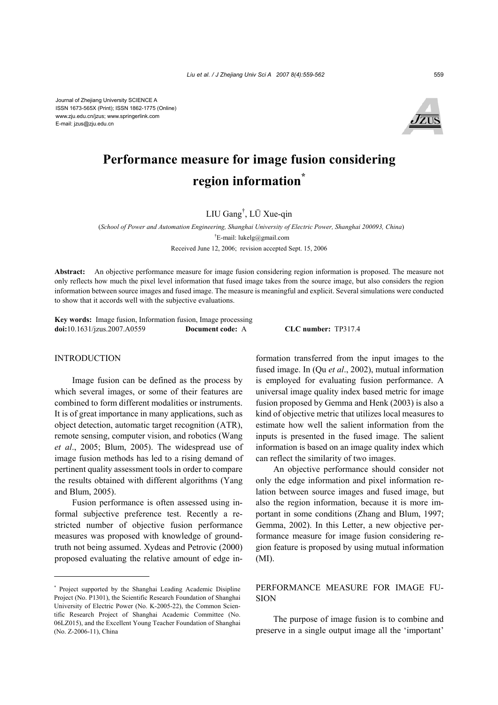Journal of Zhejiang University SCIENCE A ISSN 1673-565X (Print); ISSN 1862-1775 (Online) www.zju.edu.cn/jzus; www.springerlink.com E-mail: jzus@zju.edu.cn



# **Performance measure for image fusion considering region information\***

LIU Gang† , LÜ Xue-qin

(*School of Power and Automation Engineering, Shanghai University of Electric Power, Shanghai 200093, China*) † E-mail: lukelg@gmail.com Received June 12, 2006; revision accepted Sept. 15, 2006

**Abstract:** An objective performance measure for image fusion considering region information is proposed. The measure not only reflects how much the pixel level information that fused image takes from the source image, but also considers the region information between source images and fused image. The measure is meaningful and explicit. Several simulations were conducted to show that it accords well with the subjective evaluations.

**Key words:** Image fusion, Information fusion, Image processing **doi:**10.1631/jzus.2007.A0559 **Document code:** A **CLC number:** TP317.4

#### INTRODUCTION

Image fusion can be defined as the process by which several images, or some of their features are combined to form different modalities or instruments. It is of great importance in many applications, such as object detection, automatic target recognition (ATR), remote sensing, computer vision, and robotics (Wang *et al*., 2005; Blum, 2005). The widespread use of image fusion methods has led to a rising demand of pertinent quality assessment tools in order to compare the results obtained with different algorithms (Yang and Blum, 2005).

Fusion performance is often assessed using informal subjective preference test. Recently a restricted number of objective fusion performance measures was proposed with knowledge of groundtruth not being assumed. Xydeas and Petrovic (2000) proposed evaluating the relative amount of edge information transferred from the input images to the fused image. In (Qu *et al*., 2002), mutual information is employed for evaluating fusion performance. A universal image quality index based metric for image fusion proposed by Gemma and Henk (2003) is also a kind of objective metric that utilizes local measures to estimate how well the salient information from the inputs is presented in the fused image. The salient information is based on an image quality index which can reflect the similarity of two images.

An objective performance should consider not only the edge information and pixel information relation between source images and fused image, but also the region information, because it is more important in some conditions (Zhang and Blum, 1997; Gemma, 2002). In this Letter, a new objective performance measure for image fusion considering region feature is proposed by using mutual information (MI).

## PERFORMANCE MEASURE FOR IMAGE FU-SION

The purpose of image fusion is to combine and preserve in a single output image all the 'important'

<sup>\*</sup> Project supported by the Shanghai Leading Academic Disipline Project (No. P1301), the Scientific Research Foundation of Shanghai University of Electric Power (No. K-2005-22), the Common Scientific Research Project of Shanghai Academic Committee (No. 06LZ015), and the Excellent Young Teacher Foundation of Shanghai (No. Z-2006-11), China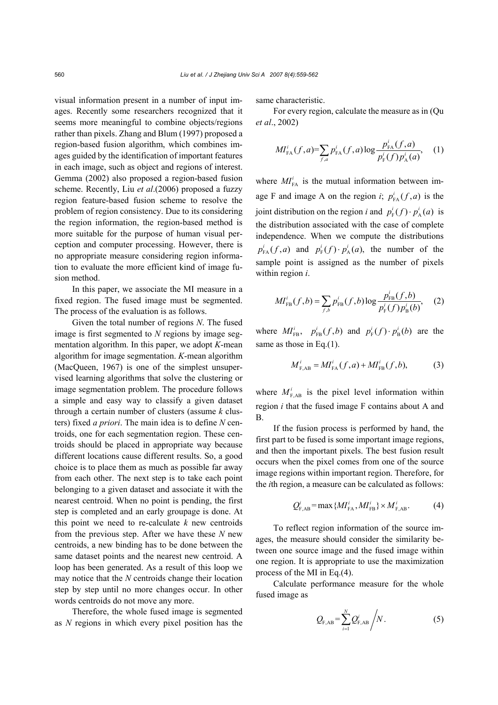visual information present in a number of input images. Recently some researchers recognized that it seems more meaningful to combine objects/regions rather than pixels. Zhang and Blum (1997) proposed a region-based fusion algorithm, which combines images guided by the identification of important features in each image, such as object and regions of interest. Gemma (2002) also proposed a region-based fusion scheme. Recently, Liu *et al*.(2006) proposed a fuzzy region feature-based fusion scheme to resolve the problem of region consistency. Due to its considering the region information, the region-based method is more suitable for the purpose of human visual perception and computer processing. However, there is no appropriate measure considering region information to evaluate the more efficient kind of image fusion method.

In this paper, we associate the MI measure in a fixed region. The fused image must be segmented. The process of the evaluation is as follows.

Given the total number of regions *N*. The fused image is first segmented to *N* regions by image segmentation algorithm. In this paper, we adopt *K*-mean algorithm for image segmentation. *K*-mean algorithm (MacQueen, 1967) is one of the simplest unsupervised learning algorithms that solve the clustering or image segmentation problem. The procedure follows a simple and easy way to classify a given dataset through a certain number of clusters (assume *k* clusters) fixed *a priori*. The main idea is to define *N* centroids, one for each segmentation region. These centroids should be placed in appropriate way because different locations cause different results. So, a good choice is to place them as much as possible far away from each other. The next step is to take each point belonging to a given dataset and associate it with the nearest centroid. When no point is pending, the first step is completed and an early groupage is done. At this point we need to re-calculate *k* new centroids from the previous step. After we have these *N* new centroids, a new binding has to be done between the same dataset points and the nearest new centroid. A loop has been generated. As a result of this loop we may notice that the *N* centroids change their location step by step until no more changes occur. In other words centroids do not move any more.

Therefore, the whole fused image is segmented as *N* regions in which every pixel position has the

same characteristic.

For every region, calculate the measure as in (Qu *et al*., 2002)

$$
MI_{FA}^i(f,a) = \sum_{f,a} p_{FA}^i(f,a) \log \frac{p_{FA}^i(f,a)}{p_{F}^i(f)p_{A}^i(a)}, \quad (1)
$$

where  $MI_{FA}^i$  is the mutual information between image F and image A on the region *i*;  $p_{FA}^i(f,a)$  is the joint distribution on the region *i* and  $p_F^i(f) \cdot p_A^i(a)$  is the distribution associated with the case of complete independence. When we compute the distributions  $p_{FA}^i(f,a)$  and  $p_{FA}^i(f) \cdot p_{A}^i(a)$ , the number of the sample point is assigned as the number of pixels within region *i*.

$$
MI_{FB}^{i}(f,b) = \sum_{f,b} p_{FB}^{i}(f,b) \log \frac{p_{FB}^{i}(f,b)}{p_{F}^{i}(f)p_{B}^{i}(b)},
$$
 (2)

where  $MI_{FB}^i$ ,  $p_{FB}^i(f, b)$  and  $p_F^i(f) \cdot p_B^i(b)$  are the same as those in Eq.(1).

$$
M_{F,AB}^i = M I_{FA}^i(f,a) + M I_{FB}^i(f,b),
$$
 (3)

where  $M_{F,AB}^i$  is the pixel level information within region *i* that the fused image F contains about A and B.

If the fusion process is performed by hand, the first part to be fused is some important image regions, and then the important pixels. The best fusion result occurs when the pixel comes from one of the source image regions within important region. Therefore, for the *i*th region, a measure can be calculated as follows:

$$
Q_{\mathrm{F,AB}}^i = \max\{MI_{\mathrm{FA}}^i, MI_{\mathrm{FB}}^i\} \times M_{\mathrm{F,AB}}^i.
$$
 (4)

To reflect region information of the source images, the measure should consider the similarity between one source image and the fused image within one region. It is appropriate to use the maximization process of the MI in Eq.(4).

Calculate performance measure for the whole fused image as

$$
Q_{F,AB} = \sum_{i=1}^{N} Q_{F,AB}^{i} / N.
$$
 (5)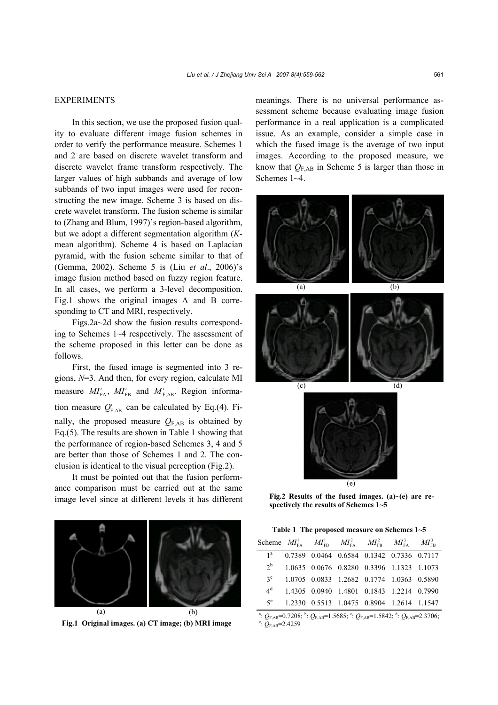### EXPERIMENTS

In this section, we use the proposed fusion quality to evaluate different image fusion schemes in order to verify the performance measure. Schemes 1 and 2 are based on discrete wavelet transform and discrete wavelet frame transform respectively. The larger values of high subbands and average of low subbands of two input images were used for reconstructing the new image. Scheme 3 is based on discrete wavelet transform. The fusion scheme is similar to (Zhang and Blum, 1997)'s region-based algorithm, but we adopt a different segmentation algorithm (*K*mean algorithm). Scheme 4 is based on Laplacian pyramid, with the fusion scheme similar to that of (Gemma, 2002). Scheme 5 is (Liu *et al*., 2006)'s image fusion method based on fuzzy region feature. In all cases, we perform a 3-level decomposition. Fig.1 shows the original images A and B corresponding to CT and MRI, respectively.

Figs.2a~2d show the fusion results corresponding to Schemes 1~4 respectively. The assessment of the scheme proposed in this letter can be done as follows.

First, the fused image is segmented into 3 regions, *N*=3. And then, for every region, calculate MI measure  $MI_{FA}^i$ ,  $MI_{FB}^i$  and  $M_{F,AB}^i$ . Region information measure  $Q_{F,AB}^i$  can be calculated by Eq.(4). Finally, the proposed measure  $Q_{\text{F,AB}}$  is obtained by Eq.(5). The results are shown in Table 1 showing that the performance of region-based Schemes 3, 4 and 5 are better than those of Schemes 1 and 2. The conclusion is identical to the visual perception (Fig.2).

It must be pointed out that the fusion performance comparison must be carried out at the same image level since at different levels it has different



**Fig.1 Original images. (a) CT image; (b) MRI image** 

meanings. There is no universal performance assessment scheme because evaluating image fusion performance in a real application is a complicated issue. As an example, consider a simple case in which the fused image is the average of two input images. According to the proposed measure, we know that  $Q_{\text{F,AB}}$  in Scheme 5 is larger than those in Schemes 1~4.



(e)

**Fig.2 Results of the fused images. (a)~(e) are respectively the results of Schemes 1~5**

| Table 1 The proposed measure on Schemes $1-5$ |  |  |                                                                                |  |  |  |
|-----------------------------------------------|--|--|--------------------------------------------------------------------------------|--|--|--|
|                                               |  |  | Scheme $MI_{FA}^1 = MI_{FB}^1 = MI_{FA}^2 = MI_{FB}^2 = MI_{FB}^3 = MI_{FB}^3$ |  |  |  |
| 1 <sup>a</sup>                                |  |  | 0.7389 0.0464 0.6584 0.1342 0.7336 0.7117                                      |  |  |  |
| 2 <sup>b</sup>                                |  |  | 1.0635 0.0676 0.8280 0.3396 1.1323 1.1073                                      |  |  |  |
| $3^{\circ}$                                   |  |  | 1.0705 0.0833 1.2682 0.1774 1.0363 0.5890                                      |  |  |  |
| 4 <sup>d</sup>                                |  |  | 1.4305 0.0940 1.4801 0.1843 1.2214 0.7990                                      |  |  |  |
| $5^e$                                         |  |  | 1.2330 0.5513 1.0475 0.8904 1.2614 1.1547                                      |  |  |  |
|                                               |  |  |                                                                                |  |  |  |

<sup>a</sup>:  $Q_{F,AB} = 0.7208$ ; <sup>b</sup>:  $Q_{F,AB} = 1.5685$ ; <sup>c</sup>:  $Q_{F,AB} = 1.5842$ ; <sup>d</sup>:  $Q_{F,AB} = 2.3706$ ;  $Q_{F,AB} = 2.3706$ ;  $e: \widetilde{Q}_{\rm F,AB} = 2.4259$